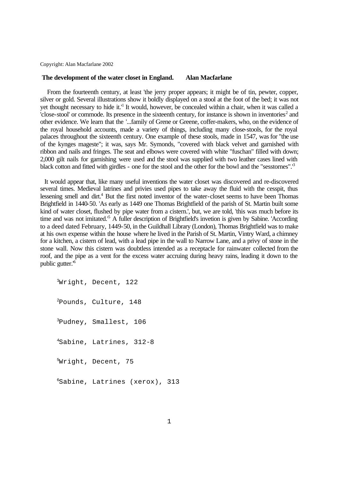Copyright: Alan Macfarlane 2002

## **The development of the water closet in England. Alan Macfarlane**

 From the fourteenth century, at least 'the jerry proper appears; it might be of tin, pewter, copper, silver or gold. Several illustrations show it boldly displayed on a stool at the foot of the bed; it was not yet thought necessary to hide it.<sup>1</sup> It would, however, be concealed within a chair, when it was called a  $C$ close-stool' or commode. Its presence in the sixteenth century, for instance is shown in inventories<sup>2</sup> and other evidence. We learn that the '...family of Grene or Greene, coffer-makers, who, on the evidence of the royal household accounts, made a variety of things, including many close-stools, for the royal palaces throughout the sixteenth century. One example of these stools, made in 1547, was for "the use of the kynges mageste"; it was, says Mr. Symonds, "covered with black velvet and garnished with ribbon and nails and fringes. The seat and elbows were covered with white "fuschan" filled with down; 2,000 gilt nails for garnishing were used and the stool was supplied with two leather cases lined with black cotton and fitted with girdles - one for the stool and the other for the bowl and the "sesstornes".'<sup>3</sup>

 It would appear that, like many useful inventions the water closet was discovered and re-discovered several times. Medieval latrines and privies used pipes to take away the fluid with the cesspit, thus lessening smell and dirt.<sup>4</sup> But the first noted inventor of the water-closet seems to have been Thomas Brightfield in 1440-50. 'As early as 1449 one Thomas Brightfield of the parish of St. Martin built some kind of water closet, flushed by pipe water from a cistern.', but, we are told, 'this was much before its time and was not imitated.<sup>5</sup> A fuller description of Brightfield's invetion is given by Sabine. 'According to a deed dated February, 1449-50, in the Guildhall Library (London), Thomas Brightfield was to make at his own expense within the house where he lived in the Parish of St. Martin, Vintry Ward, a chimney for a kitchen, a cistern of lead, with a lead pipe in the wall to Narrow Lane, and a privy of stone in the stone wall. Now this cistern was doubtless intended as a receptacle for rainwater collected from the roof, and the pipe as a vent for the excess water accruing during heavy rains, leading it down to the public gutter.'<sup>6</sup>

Wright, Decent, 122 Pounds, Culture, 148 Pudney, Smallest, 106 Sabine, Latrines, 312-8 <sup>5</sup>Wright, Decent, 75 Sabine, Latrines (xerox), 313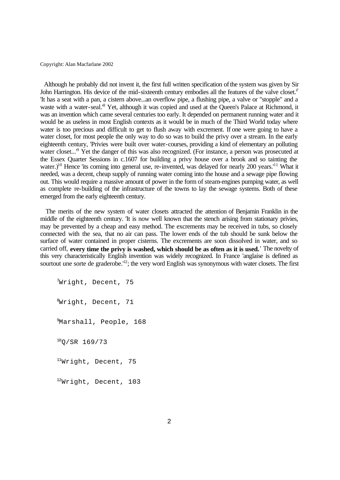Copyright: Alan Macfarlane 2002

 Although he probably did not invent it, the first full written specification of the system was given by Sir John Harrington. His device of the mid-sixteenth century embodies all the features of the valve closet. $<sup>7</sup>$ </sup> 'It has a seat with a pan, a cistern above...an overflow pipe, a flushing pipe, a valve or "stopple" and a waste with a water-seal.<sup>8</sup> Yet, although it was copied and used at the Queen's Palace at Richmond, it was an invention which came several centuries too early. It depended on permanent running water and it would be as useless in most English contexts as it would be in much of the Third World today where water is too precious and difficult to get to flush away with excrement. If one were going to have a water closet, for most people the only way to do so was to build the privy over a stream. In the early eighteenth century, 'Privies were built over water-courses, providing a kind of elementary an polluting water closet...<sup>9</sup> Yet the danger of this was also recognized. (For instance, a person was prosecuted at the Essex Quarter Sessions in c.1607 for building a privy house over a brook and so tainting the water.)<sup>10</sup> Hence 'its coming into general use, re-invented, was delayed for nearly 200 years.<sup>'11</sup> What it needed, was a decent, cheap supply of running water coming into the house and a sewage pipe flowing out. This would require a massive amount of power in the form of steam-engines pumping water, as well as complete re-building of the infrastructure of the towns to lay the sewage systems. Both of these emerged from the early eighteenth century.

 The merits of the new system of water closets attracted the attention of Benjamin Franklin in the middle of the eighteenth century. 'It is now well known that the stench arising from stationary privies, may be prevented by a cheap and easy method. The excrements may be received in tubs, so closely connected with the sea, that no air can pass. The lower ends of the tub should be sunk below the surface of water contained in proper cisterns. The excrements are soon dissolved in water, and so carried off, **every time the privy is washed, which should be as often as it is used.**' The novelty of this very characteristically English invention was widely recognized. In France 'anglaise is defined as sourtout une sorte de graderobe.'<sup>12</sup>; the very word English was synonymous with water closets. The first

Wright, Decent, 75 Wright, Decent, 71 <sup>9</sup>Marshall, People, 168 <sub>O</sub>/SR 169/73 <sup>11</sup>Wright, Decent, 75 Wright, Decent, 103